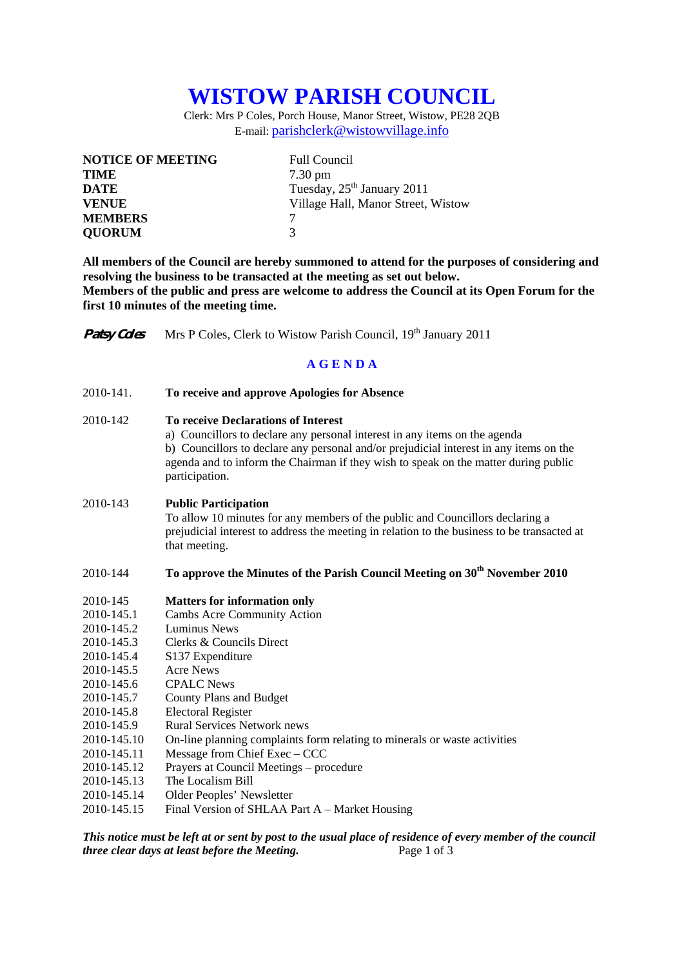# **WISTOW PARISH COUNCIL**

Clerk: Mrs P Coles, Porch House, Manor Street, Wistow, PE28 2QB E-mail: parishclerk@wistowvillage.info

| <b>NOTICE OF MEETING</b> | <b>Full Council</b>                    |
|--------------------------|----------------------------------------|
| <b>TIME</b>              | $7.30 \text{ pm}$                      |
| <b>DATE</b>              | Tuesday, 25 <sup>th</sup> January 2011 |
| <b>VENUE</b>             | Village Hall, Manor Street, Wistow     |
| <b>MEMBERS</b>           |                                        |
| <b>OUORUM</b>            | 3                                      |

**All members of the Council are hereby summoned to attend for the purposes of considering and resolving the business to be transacted at the meeting as set out below. Members of the public and press are welcome to address the Council at its Open Forum for the first 10 minutes of the meeting time.** 

**Patsy Coles** Mrs P Coles, Clerk to Wistow Parish Council, 19th January 2011

### **A G E N D A**

2010-141. **To receive and approve Apologies for Absence** 

#### 2010-142 **To receive Declarations of Interest**

 a) Councillors to declare any personal interest in any items on the agenda b) Councillors to declare any personal and/or prejudicial interest in any items on the agenda and to inform the Chairman if they wish to speak on the matter during public participation.

#### 2010-143 **Public Participation**

To allow 10 minutes for any members of the public and Councillors declaring a prejudicial interest to address the meeting in relation to the business to be transacted at that meeting.

## 2010-144 **To approve the Minutes of the Parish Council Meeting on 30<sup>th</sup> November 2010**

- 2010-145 **Matters for information only**
- 2010-145.1 Cambs Acre Community Action
- 2010-145.2 Luminus News
- 2010-145.3 Clerks & Councils Direct
- 2010-145.4 S137 Expenditure
- 2010-145.5 Acre News
- 2010-145.6 CPALC News
- 2010-145.7 County Plans and Budget
- 2010-145.8 Electoral Register
- 2010-145.9 Rural Services Network news
- 2010-145.10 On-line planning complaints form relating to minerals or waste activities
- 2010-145.11 Message from Chief Exec CCC
- 2010-145.12 Prayers at Council Meetings procedure
- 2010-145.13 The Localism Bill
- 2010-145.14 Older Peoples' Newsletter
- 2010-145.15 Final Version of SHLAA Part A Market Housing

*This notice must be left at or sent by post to the usual place of residence of every member of the council three clear days at least before the Meeting.* Page 1 of 3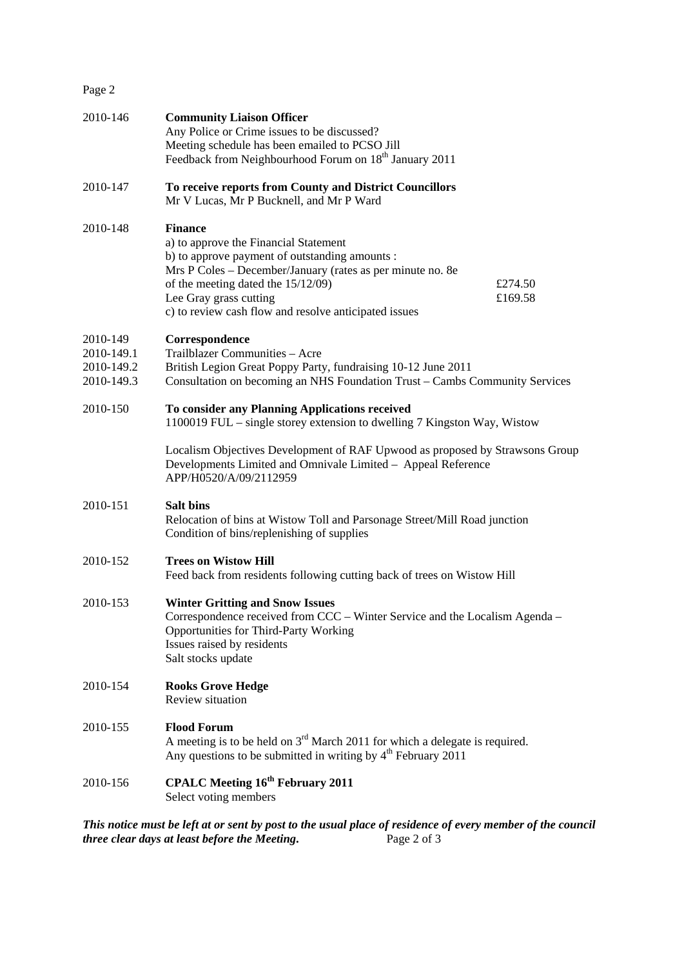Page 2

| 2010-146                                           | <b>Community Liaison Officer</b><br>Any Police or Crime issues to be discussed?<br>Meeting schedule has been emailed to PCSO Jill<br>Feedback from Neighbourhood Forum on 18 <sup>th</sup> January 2011                                                                                          |                    |
|----------------------------------------------------|--------------------------------------------------------------------------------------------------------------------------------------------------------------------------------------------------------------------------------------------------------------------------------------------------|--------------------|
| 2010-147                                           | To receive reports from County and District Councillors<br>Mr V Lucas, Mr P Bucknell, and Mr P Ward                                                                                                                                                                                              |                    |
| 2010-148                                           | <b>Finance</b><br>a) to approve the Financial Statement<br>b) to approve payment of outstanding amounts :<br>Mrs P Coles - December/January (rates as per minute no. 8e<br>of the meeting dated the 15/12/09)<br>Lee Gray grass cutting<br>c) to review cash flow and resolve anticipated issues | £274.50<br>£169.58 |
| 2010-149<br>2010-149.1<br>2010-149.2<br>2010-149.3 | Correspondence<br>Trailblazer Communities - Acre<br>British Legion Great Poppy Party, fundraising 10-12 June 2011<br>Consultation on becoming an NHS Foundation Trust - Cambs Community Services                                                                                                 |                    |
| 2010-150                                           | To consider any Planning Applications received<br>1100019 FUL - single storey extension to dwelling 7 Kingston Way, Wistow                                                                                                                                                                       |                    |
|                                                    | Localism Objectives Development of RAF Upwood as proposed by Strawsons Group<br>Developments Limited and Omnivale Limited - Appeal Reference<br>APP/H0520/A/09/2112959                                                                                                                           |                    |
| 2010-151                                           | <b>Salt bins</b><br>Relocation of bins at Wistow Toll and Parsonage Street/Mill Road junction<br>Condition of bins/replenishing of supplies                                                                                                                                                      |                    |
| 2010-152                                           | <b>Trees on Wistow Hill</b><br>Feed back from residents following cutting back of trees on Wistow Hill                                                                                                                                                                                           |                    |
| 2010-153                                           | <b>Winter Gritting and Snow Issues</b><br>Correspondence received from CCC – Winter Service and the Localism Agenda –<br><b>Opportunities for Third-Party Working</b><br>Issues raised by residents<br>Salt stocks update                                                                        |                    |
| 2010-154                                           | <b>Rooks Grove Hedge</b><br>Review situation                                                                                                                                                                                                                                                     |                    |
| 2010-155                                           | <b>Flood Forum</b><br>A meeting is to be held on $3rd$ March 2011 for which a delegate is required.<br>Any questions to be submitted in writing by 4 <sup>th</sup> February 2011                                                                                                                 |                    |
| 2010-156                                           | <b>CPALC Meeting 16th February 2011</b><br>Select voting members                                                                                                                                                                                                                                 |                    |
|                                                    |                                                                                                                                                                                                                                                                                                  |                    |

*This notice must be left at or sent by post to the usual place of residence of every member of the council three clear days at least before the Meeting*. Page 2 of 3